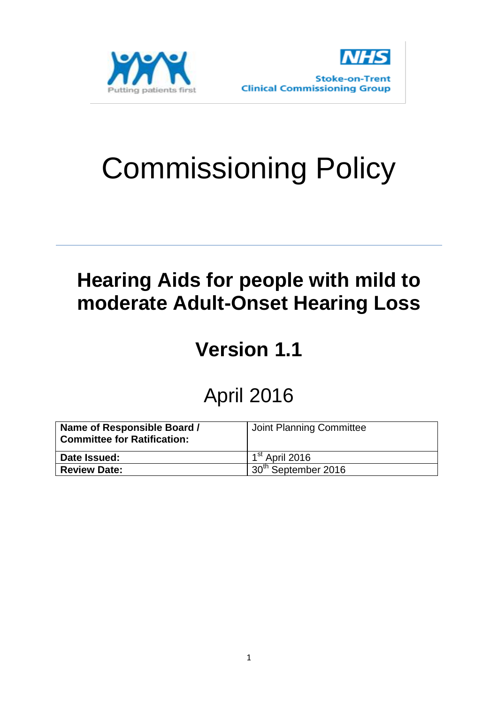



# Commissioning Policy

### **Hearing Aids for people with mild to moderate Adult-Onset Hearing Loss**

## **Version 1.1**

#### April 2016

| Name of Responsible Board /<br><b>Committee for Ratification:</b> | Joint Planning Committee   |
|-------------------------------------------------------------------|----------------------------|
| Date Issued:                                                      | 1 <sup>st</sup> April 2016 |
| <b>Review Date:</b>                                               | $+30th$ September 2016     |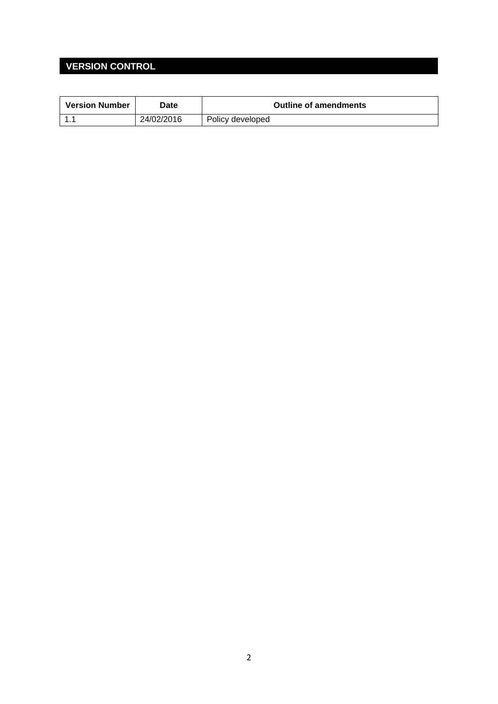#### **VERSION CONTROL**

| <b>Version Number</b> | Date       | <b>Outline of amendments</b> |
|-----------------------|------------|------------------------------|
|                       | 24/02/2016 | Policy developed             |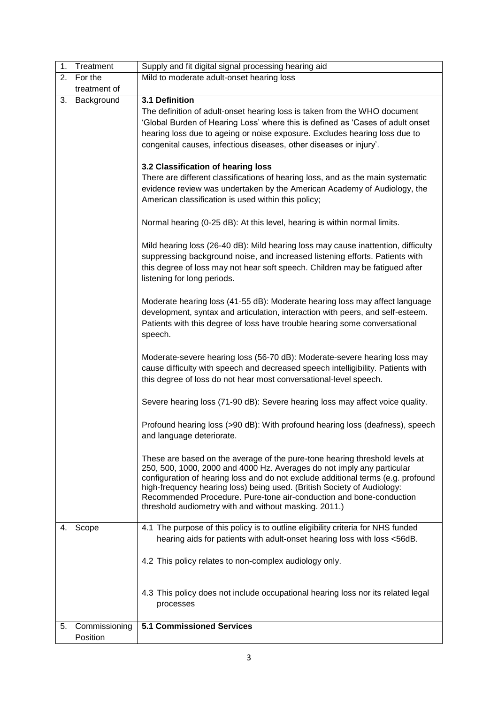| 1. | Treatment     | Supply and fit digital signal processing hearing aid                                                                                                                                                                                                                                                                                                                                                                                                 |
|----|---------------|------------------------------------------------------------------------------------------------------------------------------------------------------------------------------------------------------------------------------------------------------------------------------------------------------------------------------------------------------------------------------------------------------------------------------------------------------|
| 2. | For the       | Mild to moderate adult-onset hearing loss                                                                                                                                                                                                                                                                                                                                                                                                            |
|    | treatment of  |                                                                                                                                                                                                                                                                                                                                                                                                                                                      |
| 3. | Background    | 3.1 Definition<br>The definition of adult-onset hearing loss is taken from the WHO document<br>'Global Burden of Hearing Loss' where this is defined as 'Cases of adult onset<br>hearing loss due to ageing or noise exposure. Excludes hearing loss due to<br>congenital causes, infectious diseases, other diseases or injury'.                                                                                                                    |
|    |               | 3.2 Classification of hearing loss<br>There are different classifications of hearing loss, and as the main systematic<br>evidence review was undertaken by the American Academy of Audiology, the<br>American classification is used within this policy;                                                                                                                                                                                             |
|    |               | Normal hearing (0-25 dB): At this level, hearing is within normal limits.                                                                                                                                                                                                                                                                                                                                                                            |
|    |               | Mild hearing loss (26-40 dB): Mild hearing loss may cause inattention, difficulty<br>suppressing background noise, and increased listening efforts. Patients with<br>this degree of loss may not hear soft speech. Children may be fatigued after<br>listening for long periods.                                                                                                                                                                     |
|    |               | Moderate hearing loss (41-55 dB): Moderate hearing loss may affect language<br>development, syntax and articulation, interaction with peers, and self-esteem.<br>Patients with this degree of loss have trouble hearing some conversational<br>speech.                                                                                                                                                                                               |
|    |               | Moderate-severe hearing loss (56-70 dB): Moderate-severe hearing loss may<br>cause difficulty with speech and decreased speech intelligibility. Patients with<br>this degree of loss do not hear most conversational-level speech.                                                                                                                                                                                                                   |
|    |               | Severe hearing loss (71-90 dB): Severe hearing loss may affect voice quality.                                                                                                                                                                                                                                                                                                                                                                        |
|    |               | Profound hearing loss (>90 dB): With profound hearing loss (deafness), speech<br>and language deteriorate.                                                                                                                                                                                                                                                                                                                                           |
|    |               | These are based on the average of the pure-tone hearing threshold levels at<br>250, 500, 1000, 2000 and 4000 Hz. Averages do not imply any particular<br>configuration of hearing loss and do not exclude additional terms (e.g. profound<br>high-frequency hearing loss) being used. (British Society of Audiology:<br>Recommended Procedure. Pure-tone air-conduction and bone-conduction<br>threshold audiometry with and without masking. 2011.) |
| 4. | Scope         | 4.1 The purpose of this policy is to outline eligibility criteria for NHS funded<br>hearing aids for patients with adult-onset hearing loss with loss <56dB.                                                                                                                                                                                                                                                                                         |
|    |               | 4.2 This policy relates to non-complex audiology only.                                                                                                                                                                                                                                                                                                                                                                                               |
|    |               | 4.3 This policy does not include occupational hearing loss nor its related legal<br>processes                                                                                                                                                                                                                                                                                                                                                        |
| 5. | Commissioning | <b>5.1 Commissioned Services</b>                                                                                                                                                                                                                                                                                                                                                                                                                     |
|    | Position      |                                                                                                                                                                                                                                                                                                                                                                                                                                                      |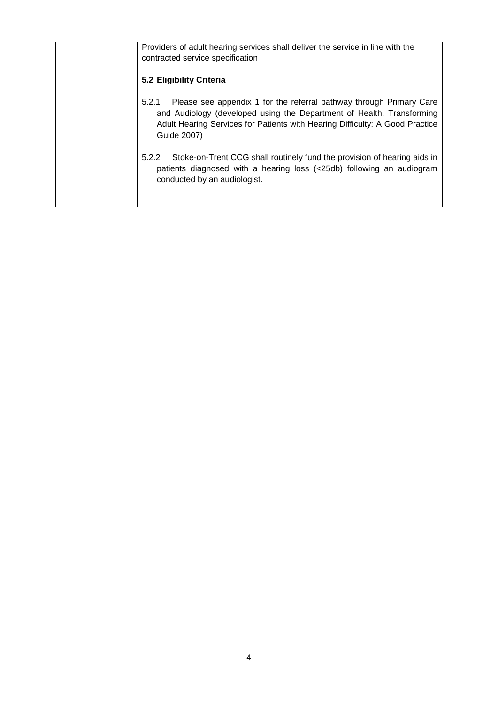| Providers of adult hearing services shall deliver the service in line with the<br>contracted service specification                                                                                                                                   |
|------------------------------------------------------------------------------------------------------------------------------------------------------------------------------------------------------------------------------------------------------|
| 5.2 Eligibility Criteria                                                                                                                                                                                                                             |
| Please see appendix 1 for the referral pathway through Primary Care<br>5.2.1<br>and Audiology (developed using the Department of Health, Transforming<br>Adult Hearing Services for Patients with Hearing Difficulty: A Good Practice<br>Guide 2007) |
| Stoke-on-Trent CCG shall routinely fund the provision of hearing aids in<br>5.2.2<br>patients diagnosed with a hearing loss (<25db) following an audiogram<br>conducted by an audiologist.                                                           |